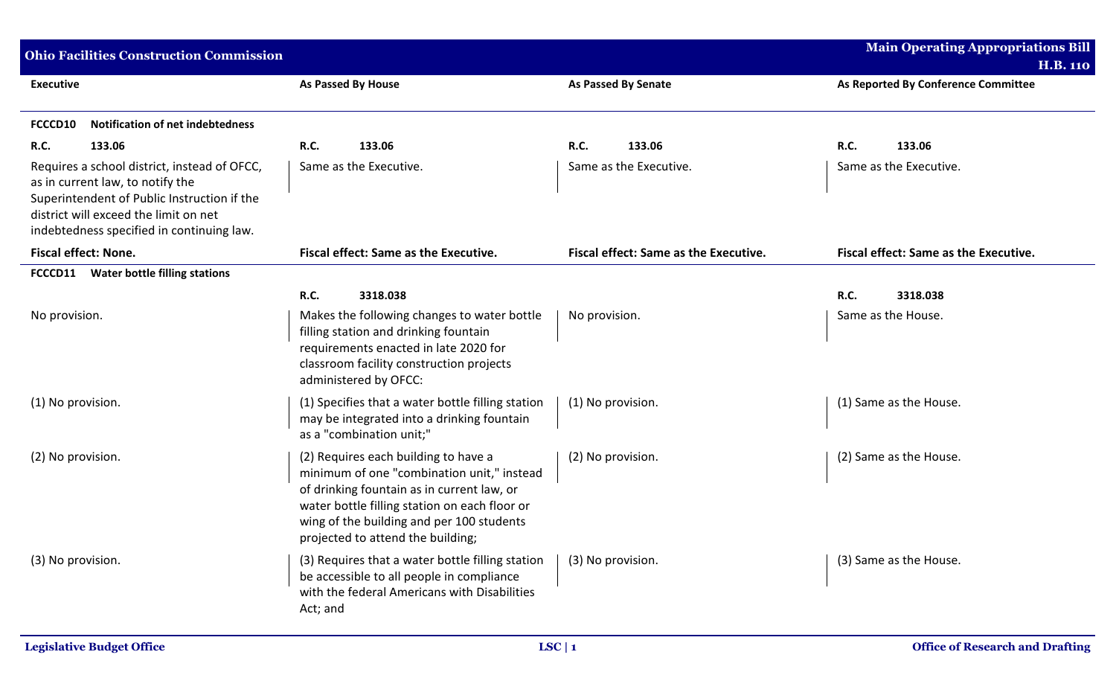| <b>Ohio Facilities Construction Commission</b>                                                                                                                                                                        |                                                                                                                                                                                                                                                                     |                                       | <b>Main Operating Appropriations Bill</b><br><b>H.B. 110</b> |
|-----------------------------------------------------------------------------------------------------------------------------------------------------------------------------------------------------------------------|---------------------------------------------------------------------------------------------------------------------------------------------------------------------------------------------------------------------------------------------------------------------|---------------------------------------|--------------------------------------------------------------|
| <b>Executive</b>                                                                                                                                                                                                      | <b>As Passed By House</b>                                                                                                                                                                                                                                           | <b>As Passed By Senate</b>            | As Reported By Conference Committee                          |
| <b>Notification of net indebtedness</b><br>FCCCD10                                                                                                                                                                    |                                                                                                                                                                                                                                                                     |                                       |                                                              |
| <b>R.C.</b><br>133.06                                                                                                                                                                                                 | <b>R.C.</b><br>133.06                                                                                                                                                                                                                                               | <b>R.C.</b><br>133.06                 | <b>R.C.</b><br>133.06                                        |
| Requires a school district, instead of OFCC,<br>as in current law, to notify the<br>Superintendent of Public Instruction if the<br>district will exceed the limit on net<br>indebtedness specified in continuing law. | Same as the Executive.                                                                                                                                                                                                                                              | Same as the Executive.                | Same as the Executive.                                       |
| <b>Fiscal effect: None.</b>                                                                                                                                                                                           | <b>Fiscal effect: Same as the Executive.</b>                                                                                                                                                                                                                        | Fiscal effect: Same as the Executive. | <b>Fiscal effect: Same as the Executive.</b>                 |
| <b>Water bottle filling stations</b><br>FCCCD11                                                                                                                                                                       |                                                                                                                                                                                                                                                                     |                                       |                                                              |
|                                                                                                                                                                                                                       | <b>R.C.</b><br>3318.038                                                                                                                                                                                                                                             |                                       | R.C.<br>3318.038                                             |
| No provision.                                                                                                                                                                                                         | Makes the following changes to water bottle<br>filling station and drinking fountain<br>requirements enacted in late 2020 for<br>classroom facility construction projects<br>administered by OFCC:                                                                  | No provision.                         | Same as the House.                                           |
| (1) No provision.                                                                                                                                                                                                     | (1) Specifies that a water bottle filling station<br>may be integrated into a drinking fountain<br>as a "combination unit;"                                                                                                                                         | (1) No provision.                     | (1) Same as the House.                                       |
| (2) No provision.                                                                                                                                                                                                     | (2) Requires each building to have a<br>minimum of one "combination unit," instead<br>of drinking fountain as in current law, or<br>water bottle filling station on each floor or<br>wing of the building and per 100 students<br>projected to attend the building; | (2) No provision.                     | (2) Same as the House.                                       |
| (3) No provision.                                                                                                                                                                                                     | (3) Requires that a water bottle filling station<br>be accessible to all people in compliance<br>with the federal Americans with Disabilities<br>Act; and                                                                                                           | (3) No provision.                     | (3) Same as the House.                                       |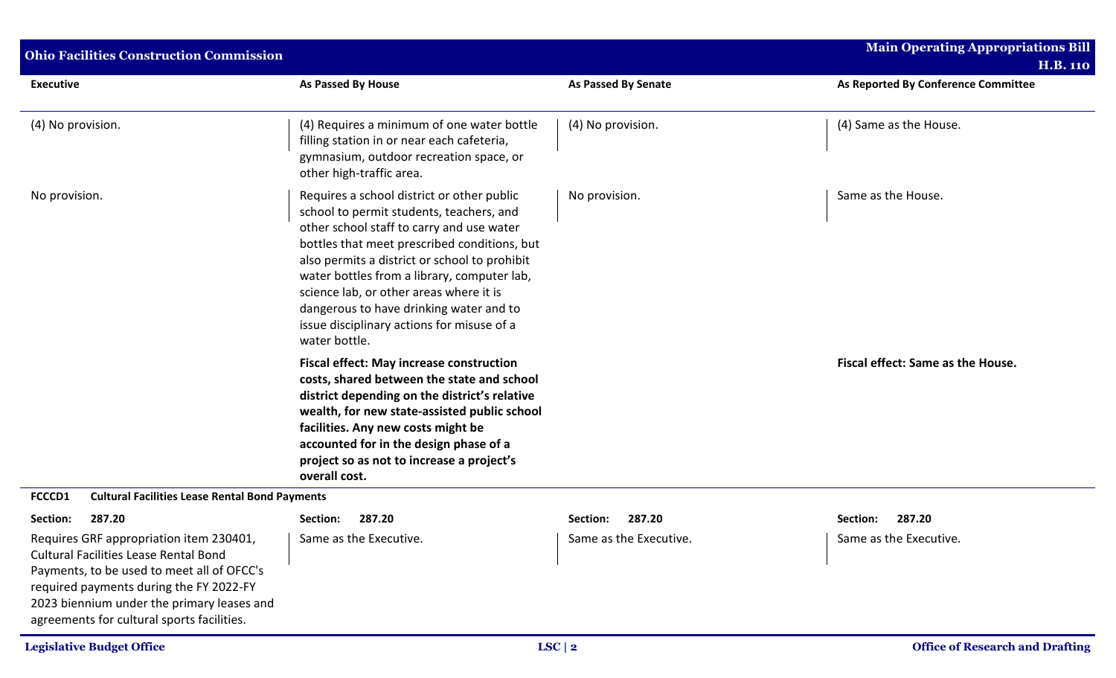| <b>Ohio Facilities Construction Commission</b>                                                                                                                                                                                                                               |                                                                                                                                                                                                                                                                                                                                                                                                                                          |                            | <b>Main Operating Appropriations Bill</b>              |
|------------------------------------------------------------------------------------------------------------------------------------------------------------------------------------------------------------------------------------------------------------------------------|------------------------------------------------------------------------------------------------------------------------------------------------------------------------------------------------------------------------------------------------------------------------------------------------------------------------------------------------------------------------------------------------------------------------------------------|----------------------------|--------------------------------------------------------|
| <b>Executive</b>                                                                                                                                                                                                                                                             | <b>As Passed By House</b>                                                                                                                                                                                                                                                                                                                                                                                                                | <b>As Passed By Senate</b> | <b>H.B. 110</b><br>As Reported By Conference Committee |
| (4) No provision.                                                                                                                                                                                                                                                            | (4) Requires a minimum of one water bottle<br>filling station in or near each cafeteria,<br>gymnasium, outdoor recreation space, or<br>other high-traffic area.                                                                                                                                                                                                                                                                          | (4) No provision.          | (4) Same as the House.                                 |
| No provision.                                                                                                                                                                                                                                                                | Requires a school district or other public<br>school to permit students, teachers, and<br>other school staff to carry and use water<br>bottles that meet prescribed conditions, but<br>also permits a district or school to prohibit<br>water bottles from a library, computer lab,<br>science lab, or other areas where it is<br>dangerous to have drinking water and to<br>issue disciplinary actions for misuse of a<br>water bottle. | No provision.              | Same as the House.                                     |
|                                                                                                                                                                                                                                                                              | <b>Fiscal effect: May increase construction</b><br>costs, shared between the state and school<br>district depending on the district's relative<br>wealth, for new state-assisted public school<br>facilities. Any new costs might be<br>accounted for in the design phase of a<br>project so as not to increase a project's<br>overall cost.                                                                                             |                            | Fiscal effect: Same as the House.                      |
| FCCCD1<br><b>Cultural Facilities Lease Rental Bond Payments</b>                                                                                                                                                                                                              |                                                                                                                                                                                                                                                                                                                                                                                                                                          |                            |                                                        |
| Section:<br>287.20                                                                                                                                                                                                                                                           | Section:<br>287.20                                                                                                                                                                                                                                                                                                                                                                                                                       | Section:<br>287.20         | Section:<br>287.20                                     |
| Requires GRF appropriation item 230401,<br><b>Cultural Facilities Lease Rental Bond</b><br>Payments, to be used to meet all of OFCC's<br>required payments during the FY 2022-FY<br>2023 biennium under the primary leases and<br>agreements for cultural sports facilities. | Same as the Executive.                                                                                                                                                                                                                                                                                                                                                                                                                   | Same as the Executive.     | Same as the Executive.                                 |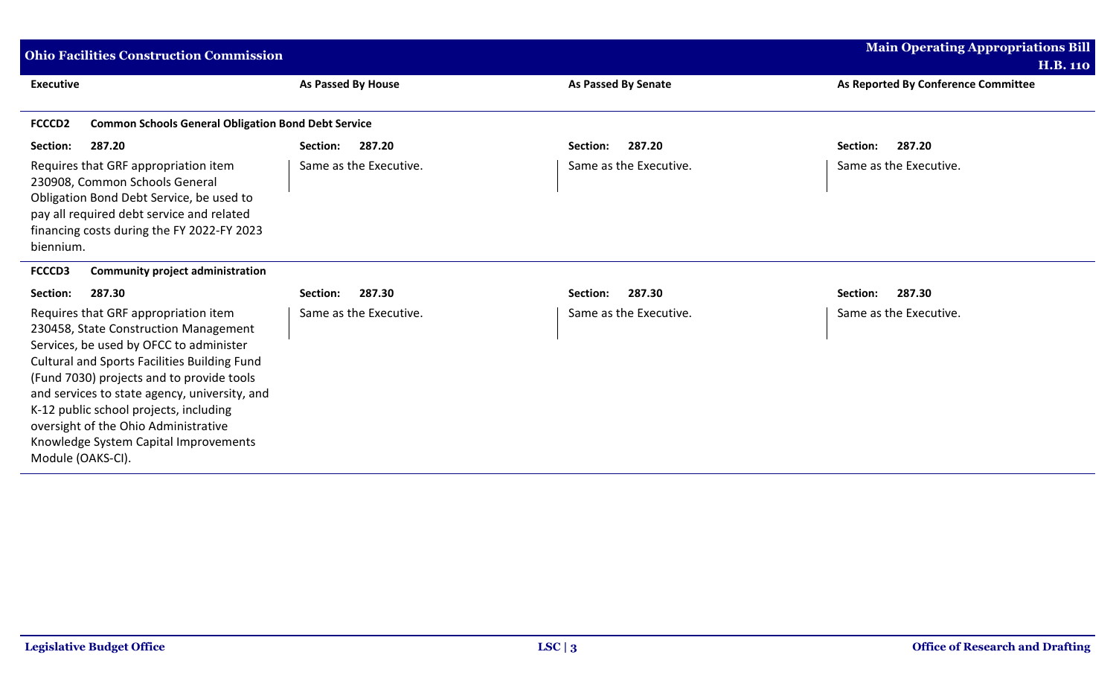| <b>Ohio Facilities Construction Commission</b>                                                                                                                                                                                                                                                                                                                                                                                |                           | <b>Main Operating Appropriations Bill</b> |                                     |
|-------------------------------------------------------------------------------------------------------------------------------------------------------------------------------------------------------------------------------------------------------------------------------------------------------------------------------------------------------------------------------------------------------------------------------|---------------------------|-------------------------------------------|-------------------------------------|
|                                                                                                                                                                                                                                                                                                                                                                                                                               |                           |                                           | <b>H.B. 110</b>                     |
| <b>Executive</b>                                                                                                                                                                                                                                                                                                                                                                                                              | <b>As Passed By House</b> | <b>As Passed By Senate</b>                | As Reported By Conference Committee |
| <b>Common Schools General Obligation Bond Debt Service</b><br>FCCCD <sub>2</sub>                                                                                                                                                                                                                                                                                                                                              |                           |                                           |                                     |
| Section:<br>287.20                                                                                                                                                                                                                                                                                                                                                                                                            | 287.20<br>Section:        | 287.20<br>Section:                        | Section:<br>287.20                  |
| Requires that GRF appropriation item<br>230908, Common Schools General<br>Obligation Bond Debt Service, be used to<br>pay all required debt service and related<br>financing costs during the FY 2022-FY 2023<br>biennium.                                                                                                                                                                                                    | Same as the Executive.    | Same as the Executive.                    | Same as the Executive.              |
| FCCCD3<br><b>Community project administration</b>                                                                                                                                                                                                                                                                                                                                                                             |                           |                                           |                                     |
| 287.30<br>Section:                                                                                                                                                                                                                                                                                                                                                                                                            | 287.30<br>Section:        | 287.30<br>Section:                        | 287.30<br>Section:                  |
| Requires that GRF appropriation item<br>230458, State Construction Management<br>Services, be used by OFCC to administer<br><b>Cultural and Sports Facilities Building Fund</b><br>(Fund 7030) projects and to provide tools<br>and services to state agency, university, and<br>K-12 public school projects, including<br>oversight of the Ohio Administrative<br>Knowledge System Capital Improvements<br>Module (OAKS-CI). | Same as the Executive.    | Same as the Executive.                    | Same as the Executive.              |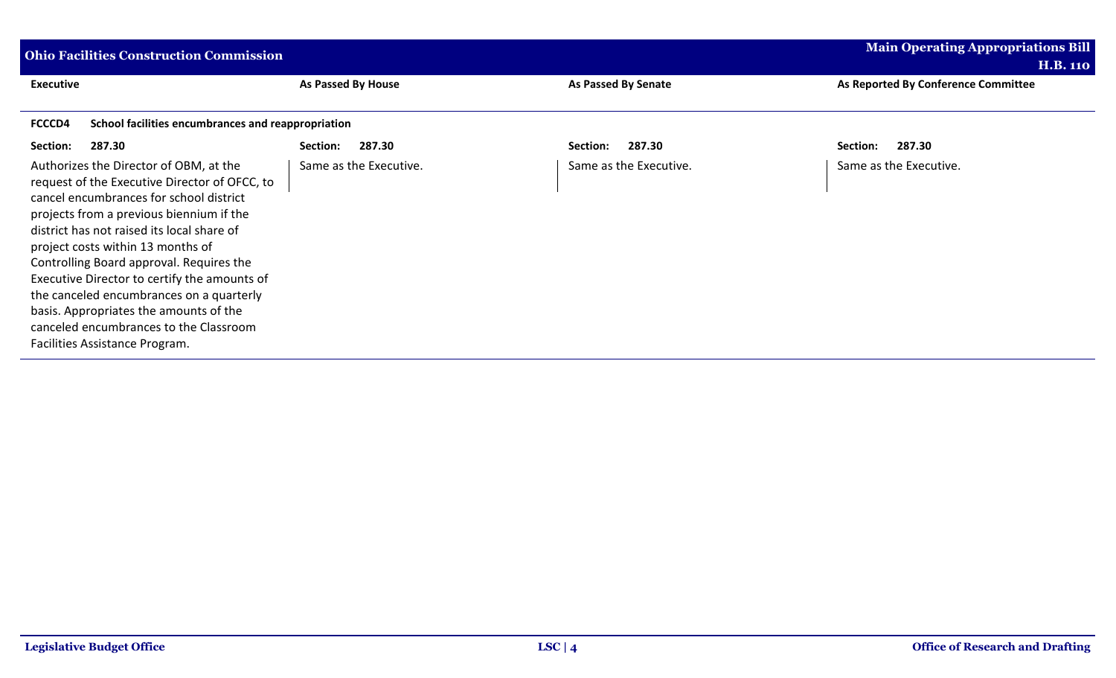| <b>Main Operating Appropriations Bill</b><br><b>Ohio Facilities Construction Commission</b>                                                                                                                                                                                                                                                                                                                                                                                                                                     |                        |                            |                                     |
|---------------------------------------------------------------------------------------------------------------------------------------------------------------------------------------------------------------------------------------------------------------------------------------------------------------------------------------------------------------------------------------------------------------------------------------------------------------------------------------------------------------------------------|------------------------|----------------------------|-------------------------------------|
|                                                                                                                                                                                                                                                                                                                                                                                                                                                                                                                                 |                        |                            | <b>H.B. 110</b>                     |
| <b>Executive</b>                                                                                                                                                                                                                                                                                                                                                                                                                                                                                                                | As Passed By House     | <b>As Passed By Senate</b> | As Reported By Conference Committee |
|                                                                                                                                                                                                                                                                                                                                                                                                                                                                                                                                 |                        |                            |                                     |
| School facilities encumbrances and reappropriation<br>FCCCD4                                                                                                                                                                                                                                                                                                                                                                                                                                                                    |                        |                            |                                     |
| 287.30<br>Section:                                                                                                                                                                                                                                                                                                                                                                                                                                                                                                              | Section:<br>287.30     | 287.30<br>Section:         | 287.30<br>Section:                  |
| Authorizes the Director of OBM, at the<br>request of the Executive Director of OFCC, to<br>cancel encumbrances for school district<br>projects from a previous biennium if the<br>district has not raised its local share of<br>project costs within 13 months of<br>Controlling Board approval. Requires the<br>Executive Director to certify the amounts of<br>the canceled encumbrances on a quarterly<br>basis. Appropriates the amounts of the<br>canceled encumbrances to the Classroom<br>Facilities Assistance Program. | Same as the Executive. | Same as the Executive.     | Same as the Executive.              |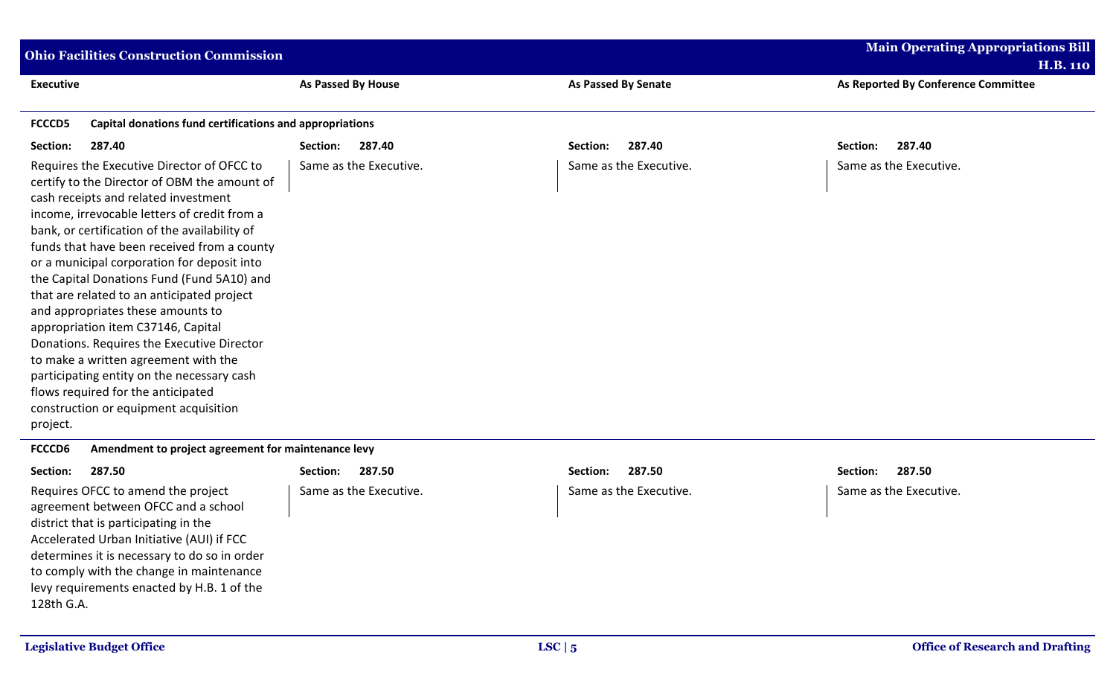| <b>Ohio Facilities Construction Commission</b>                                                                                                                                                                                                                                                                                                                                                                                                                                                                                                                                                                                                                                                                                          |                           |                            | <b>Main Operating Appropriations Bill</b> |
|-----------------------------------------------------------------------------------------------------------------------------------------------------------------------------------------------------------------------------------------------------------------------------------------------------------------------------------------------------------------------------------------------------------------------------------------------------------------------------------------------------------------------------------------------------------------------------------------------------------------------------------------------------------------------------------------------------------------------------------------|---------------------------|----------------------------|-------------------------------------------|
|                                                                                                                                                                                                                                                                                                                                                                                                                                                                                                                                                                                                                                                                                                                                         |                           |                            | <b>H.B. 110</b>                           |
| <b>Executive</b>                                                                                                                                                                                                                                                                                                                                                                                                                                                                                                                                                                                                                                                                                                                        | <b>As Passed By House</b> | <b>As Passed By Senate</b> | As Reported By Conference Committee       |
|                                                                                                                                                                                                                                                                                                                                                                                                                                                                                                                                                                                                                                                                                                                                         |                           |                            |                                           |
| <b>FCCCD5</b><br>Capital donations fund certifications and appropriations                                                                                                                                                                                                                                                                                                                                                                                                                                                                                                                                                                                                                                                               |                           |                            |                                           |
| Section:<br>287.40                                                                                                                                                                                                                                                                                                                                                                                                                                                                                                                                                                                                                                                                                                                      | 287.40<br>Section:        | 287.40<br>Section:         | 287.40<br>Section:                        |
| Requires the Executive Director of OFCC to<br>certify to the Director of OBM the amount of<br>cash receipts and related investment<br>income, irrevocable letters of credit from a<br>bank, or certification of the availability of<br>funds that have been received from a county<br>or a municipal corporation for deposit into<br>the Capital Donations Fund (Fund 5A10) and<br>that are related to an anticipated project<br>and appropriates these amounts to<br>appropriation item C37146, Capital<br>Donations. Requires the Executive Director<br>to make a written agreement with the<br>participating entity on the necessary cash<br>flows required for the anticipated<br>construction or equipment acquisition<br>project. | Same as the Executive.    | Same as the Executive.     | Same as the Executive.                    |
| FCCCD6<br>Amendment to project agreement for maintenance levy                                                                                                                                                                                                                                                                                                                                                                                                                                                                                                                                                                                                                                                                           |                           |                            |                                           |
|                                                                                                                                                                                                                                                                                                                                                                                                                                                                                                                                                                                                                                                                                                                                         |                           |                            |                                           |

| Section:<br>287.50                           | Section:<br>287.50     | Section:<br>287.50     | Section:<br>287.50     |
|----------------------------------------------|------------------------|------------------------|------------------------|
| Requires OFCC to amend the project           | Same as the Executive. | Same as the Executive. | Same as the Executive. |
| agreement between OFCC and a school          |                        |                        |                        |
| district that is participating in the        |                        |                        |                        |
| Accelerated Urban Initiative (AUI) if FCC    |                        |                        |                        |
| determines it is necessary to do so in order |                        |                        |                        |
| to comply with the change in maintenance     |                        |                        |                        |
| levy requirements enacted by H.B. 1 of the   |                        |                        |                        |
| 128th G.A.                                   |                        |                        |                        |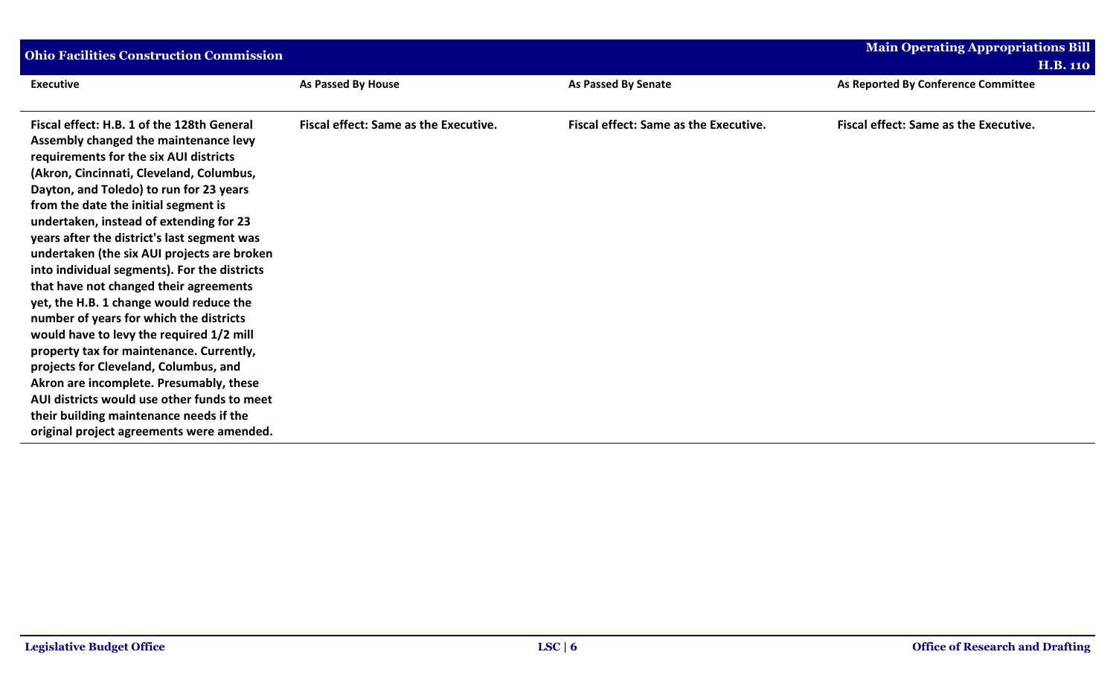| <b>Ohio Facilities Construction Commission</b> |                                                                    |  |
|------------------------------------------------|--------------------------------------------------------------------|--|
| <b>As Passed By Senate</b>                     | <b>H.B. 110</b><br>As Reported By Conference Committee             |  |
| <b>Fiscal effect: Same as the Executive.</b>   | <b>Fiscal effect: Same as the Executive.</b>                       |  |
|                                                | As Passed By House<br><b>Fiscal effect: Same as the Executive.</b> |  |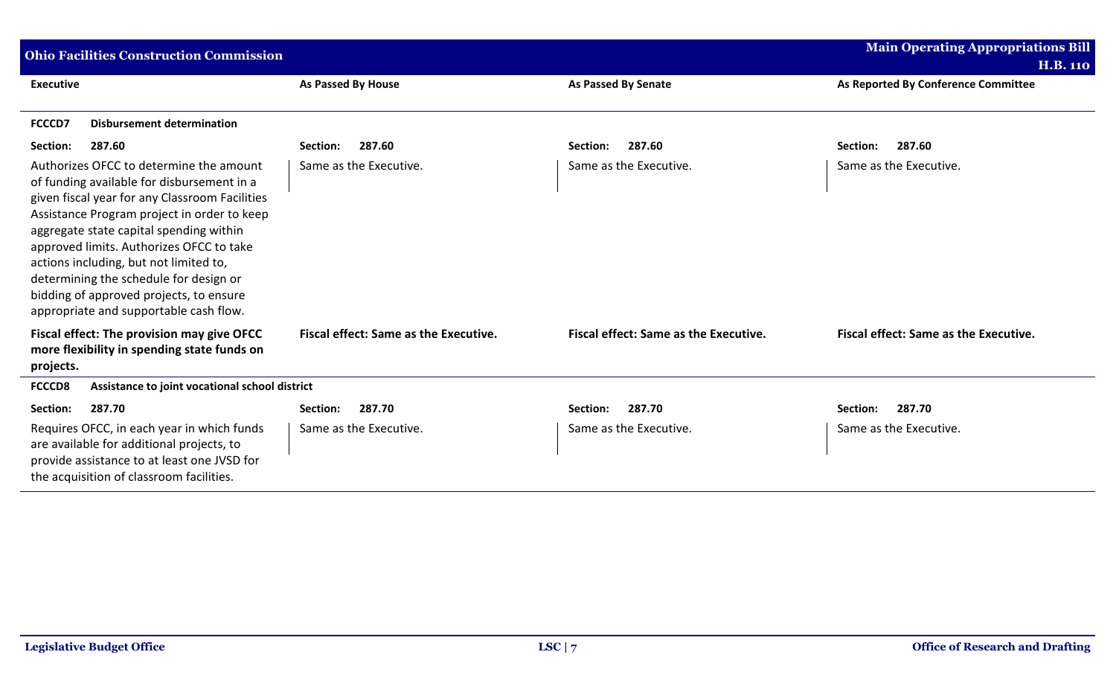| <b>Ohio Facilities Construction Commission</b>                                                                                                                                                                                                                                                                                                                                                                                                         |                                              |                                              | <b>Main Operating Appropriations Bill</b>    |
|--------------------------------------------------------------------------------------------------------------------------------------------------------------------------------------------------------------------------------------------------------------------------------------------------------------------------------------------------------------------------------------------------------------------------------------------------------|----------------------------------------------|----------------------------------------------|----------------------------------------------|
|                                                                                                                                                                                                                                                                                                                                                                                                                                                        |                                              |                                              | <b>H.B. 110</b>                              |
| <b>Executive</b>                                                                                                                                                                                                                                                                                                                                                                                                                                       | <b>As Passed By House</b>                    | <b>As Passed By Senate</b>                   | As Reported By Conference Committee          |
| <b>Disbursement determination</b><br>FCCCD7                                                                                                                                                                                                                                                                                                                                                                                                            |                                              |                                              |                                              |
| 287.60<br>Section:                                                                                                                                                                                                                                                                                                                                                                                                                                     | 287.60<br>Section:                           | 287.60<br>Section:                           | 287.60<br>Section:                           |
| Authorizes OFCC to determine the amount<br>of funding available for disbursement in a<br>given fiscal year for any Classroom Facilities<br>Assistance Program project in order to keep<br>aggregate state capital spending within<br>approved limits. Authorizes OFCC to take<br>actions including, but not limited to,<br>determining the schedule for design or<br>bidding of approved projects, to ensure<br>appropriate and supportable cash flow. | Same as the Executive.                       | Same as the Executive.                       | Same as the Executive.                       |
| Fiscal effect: The provision may give OFCC<br>more flexibility in spending state funds on<br>projects.                                                                                                                                                                                                                                                                                                                                                 | <b>Fiscal effect: Same as the Executive.</b> | <b>Fiscal effect: Same as the Executive.</b> | <b>Fiscal effect: Same as the Executive.</b> |
| <b>FCCCD8</b><br>Assistance to joint vocational school district                                                                                                                                                                                                                                                                                                                                                                                        |                                              |                                              |                                              |
| 287.70<br>Section:                                                                                                                                                                                                                                                                                                                                                                                                                                     | 287.70<br>Section:                           | 287.70<br>Section:                           | 287.70<br>Section:                           |
| Requires OFCC, in each year in which funds<br>are available for additional projects, to<br>provide assistance to at least one JVSD for<br>the acquisition of classroom facilities.                                                                                                                                                                                                                                                                     | Same as the Executive.                       | Same as the Executive.                       | Same as the Executive.                       |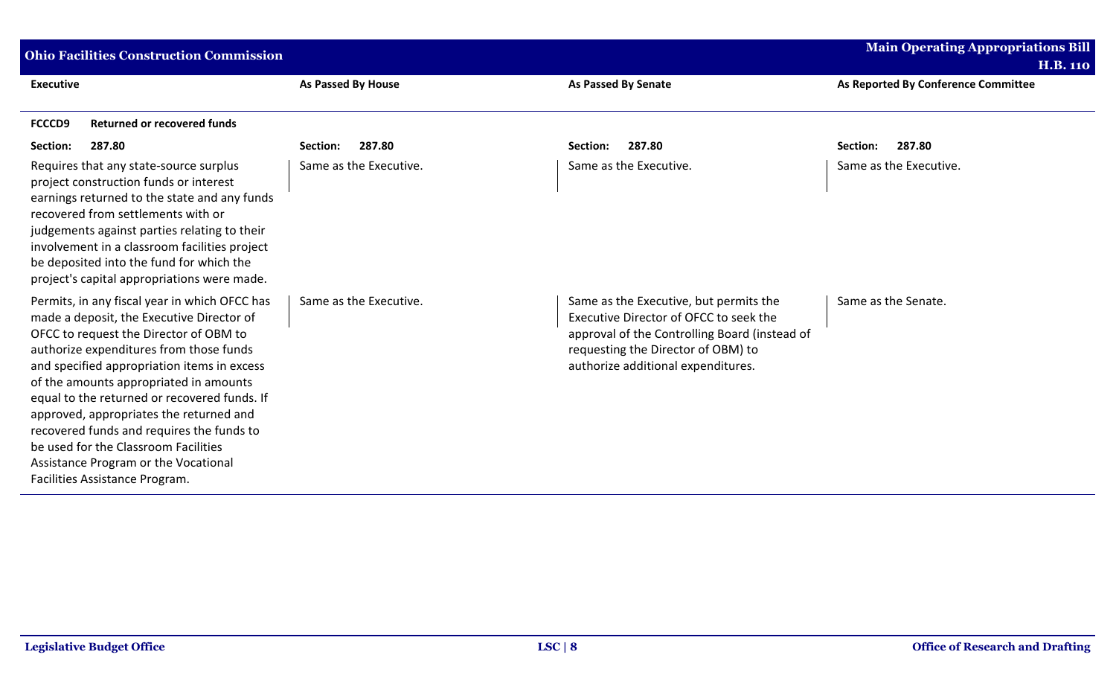| <b>Ohio Facilities Construction Commission</b>                                                                                                                                                                                                                                                                                                                                                                                                                                                                                     |                           | <b>Main Operating Appropriations Bill</b>                                                                                                                                                                     |                                     |
|------------------------------------------------------------------------------------------------------------------------------------------------------------------------------------------------------------------------------------------------------------------------------------------------------------------------------------------------------------------------------------------------------------------------------------------------------------------------------------------------------------------------------------|---------------------------|---------------------------------------------------------------------------------------------------------------------------------------------------------------------------------------------------------------|-------------------------------------|
|                                                                                                                                                                                                                                                                                                                                                                                                                                                                                                                                    |                           |                                                                                                                                                                                                               | <b>H.B. 110</b>                     |
| <b>Executive</b>                                                                                                                                                                                                                                                                                                                                                                                                                                                                                                                   | <b>As Passed By House</b> | <b>As Passed By Senate</b>                                                                                                                                                                                    | As Reported By Conference Committee |
| <b>FCCCD9</b><br><b>Returned or recovered funds</b>                                                                                                                                                                                                                                                                                                                                                                                                                                                                                |                           |                                                                                                                                                                                                               |                                     |
| 287.80<br>Section:                                                                                                                                                                                                                                                                                                                                                                                                                                                                                                                 | 287.80<br>Section:        | 287.80<br>Section:                                                                                                                                                                                            | 287.80<br>Section:                  |
| Requires that any state-source surplus<br>project construction funds or interest<br>earnings returned to the state and any funds<br>recovered from settlements with or<br>judgements against parties relating to their<br>involvement in a classroom facilities project<br>be deposited into the fund for which the<br>project's capital appropriations were made.                                                                                                                                                                 | Same as the Executive.    | Same as the Executive.                                                                                                                                                                                        | Same as the Executive.              |
| Permits, in any fiscal year in which OFCC has<br>made a deposit, the Executive Director of<br>OFCC to request the Director of OBM to<br>authorize expenditures from those funds<br>and specified appropriation items in excess<br>of the amounts appropriated in amounts<br>equal to the returned or recovered funds. If<br>approved, appropriates the returned and<br>recovered funds and requires the funds to<br>be used for the Classroom Facilities<br>Assistance Program or the Vocational<br>Facilities Assistance Program. | Same as the Executive.    | Same as the Executive, but permits the<br>Executive Director of OFCC to seek the<br>approval of the Controlling Board (instead of<br>requesting the Director of OBM) to<br>authorize additional expenditures. | Same as the Senate.                 |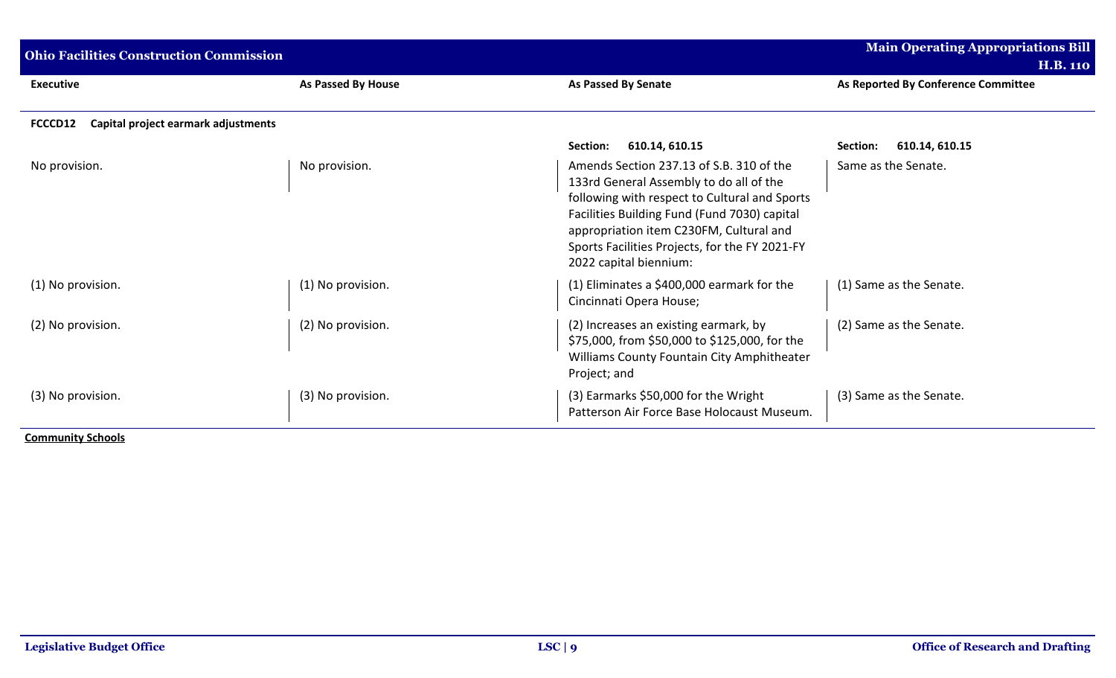| <b>Ohio Facilities Construction Commission</b> |                    |                                                                                                                                                                                                                                                                                                             | <b>Main Operating Appropriations Bill</b> |
|------------------------------------------------|--------------------|-------------------------------------------------------------------------------------------------------------------------------------------------------------------------------------------------------------------------------------------------------------------------------------------------------------|-------------------------------------------|
|                                                |                    |                                                                                                                                                                                                                                                                                                             | <b>H.B. 110</b>                           |
| <b>Executive</b>                               | As Passed By House | <b>As Passed By Senate</b>                                                                                                                                                                                                                                                                                  | As Reported By Conference Committee       |
| Capital project earmark adjustments<br>FCCCD12 |                    |                                                                                                                                                                                                                                                                                                             |                                           |
|                                                |                    | 610.14, 610.15<br>Section:                                                                                                                                                                                                                                                                                  | 610.14, 610.15<br>Section:                |
| No provision.                                  | No provision.      | Amends Section 237.13 of S.B. 310 of the<br>133rd General Assembly to do all of the<br>following with respect to Cultural and Sports<br>Facilities Building Fund (Fund 7030) capital<br>appropriation item C230FM, Cultural and<br>Sports Facilities Projects, for the FY 2021-FY<br>2022 capital biennium: | Same as the Senate.                       |
| (1) No provision.                              | (1) No provision.  | (1) Eliminates a \$400,000 earmark for the<br>Cincinnati Opera House;                                                                                                                                                                                                                                       | (1) Same as the Senate.                   |
| (2) No provision.                              | (2) No provision.  | (2) Increases an existing earmark, by<br>\$75,000, from \$50,000 to \$125,000, for the<br>Williams County Fountain City Amphitheater<br>Project; and                                                                                                                                                        | (2) Same as the Senate.                   |
| (3) No provision.                              | (3) No provision.  | (3) Earmarks \$50,000 for the Wright<br>Patterson Air Force Base Holocaust Museum.                                                                                                                                                                                                                          | (3) Same as the Senate.                   |
| <b>Community Schools</b>                       |                    |                                                                                                                                                                                                                                                                                                             |                                           |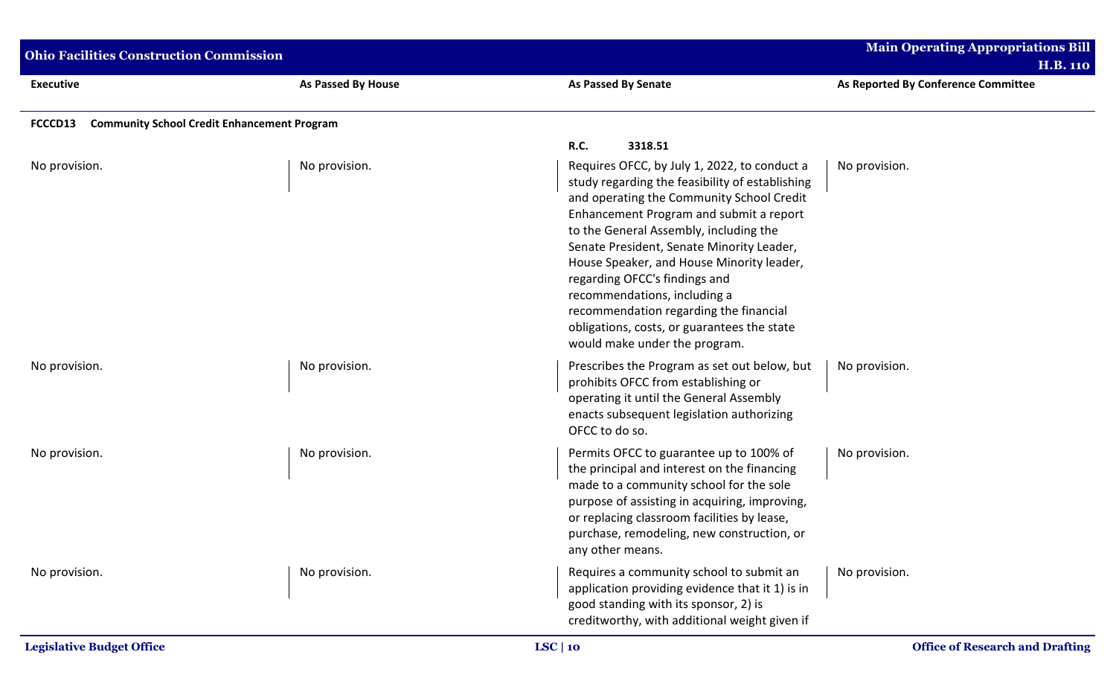| <b>Ohio Facilities Construction Commission</b>                |                    |                                                                                                                                                                                                                                                                                                                                                                                                                                                                                                                        | <b>Main Operating Appropriations Bill</b><br><b>H.B. 110</b> |
|---------------------------------------------------------------|--------------------|------------------------------------------------------------------------------------------------------------------------------------------------------------------------------------------------------------------------------------------------------------------------------------------------------------------------------------------------------------------------------------------------------------------------------------------------------------------------------------------------------------------------|--------------------------------------------------------------|
| <b>Executive</b>                                              | As Passed By House | <b>As Passed By Senate</b>                                                                                                                                                                                                                                                                                                                                                                                                                                                                                             | As Reported By Conference Committee                          |
| <b>Community School Credit Enhancement Program</b><br>FCCCD13 |                    |                                                                                                                                                                                                                                                                                                                                                                                                                                                                                                                        |                                                              |
|                                                               |                    | R.C.<br>3318.51                                                                                                                                                                                                                                                                                                                                                                                                                                                                                                        |                                                              |
| No provision.                                                 | No provision.      | Requires OFCC, by July 1, 2022, to conduct a<br>study regarding the feasibility of establishing<br>and operating the Community School Credit<br>Enhancement Program and submit a report<br>to the General Assembly, including the<br>Senate President, Senate Minority Leader,<br>House Speaker, and House Minority leader,<br>regarding OFCC's findings and<br>recommendations, including a<br>recommendation regarding the financial<br>obligations, costs, or guarantees the state<br>would make under the program. | No provision.                                                |
| No provision.                                                 | No provision.      | Prescribes the Program as set out below, but<br>prohibits OFCC from establishing or<br>operating it until the General Assembly<br>enacts subsequent legislation authorizing<br>OFCC to do so.                                                                                                                                                                                                                                                                                                                          | No provision.                                                |
| No provision.                                                 | No provision.      | Permits OFCC to guarantee up to 100% of<br>the principal and interest on the financing<br>made to a community school for the sole<br>purpose of assisting in acquiring, improving,<br>or replacing classroom facilities by lease,<br>purchase, remodeling, new construction, or<br>any other means.                                                                                                                                                                                                                    | No provision.                                                |
| No provision.                                                 | No provision.      | Requires a community school to submit an<br>application providing evidence that it 1) is in<br>good standing with its sponsor, 2) is<br>creditworthy, with additional weight given if                                                                                                                                                                                                                                                                                                                                  | No provision.                                                |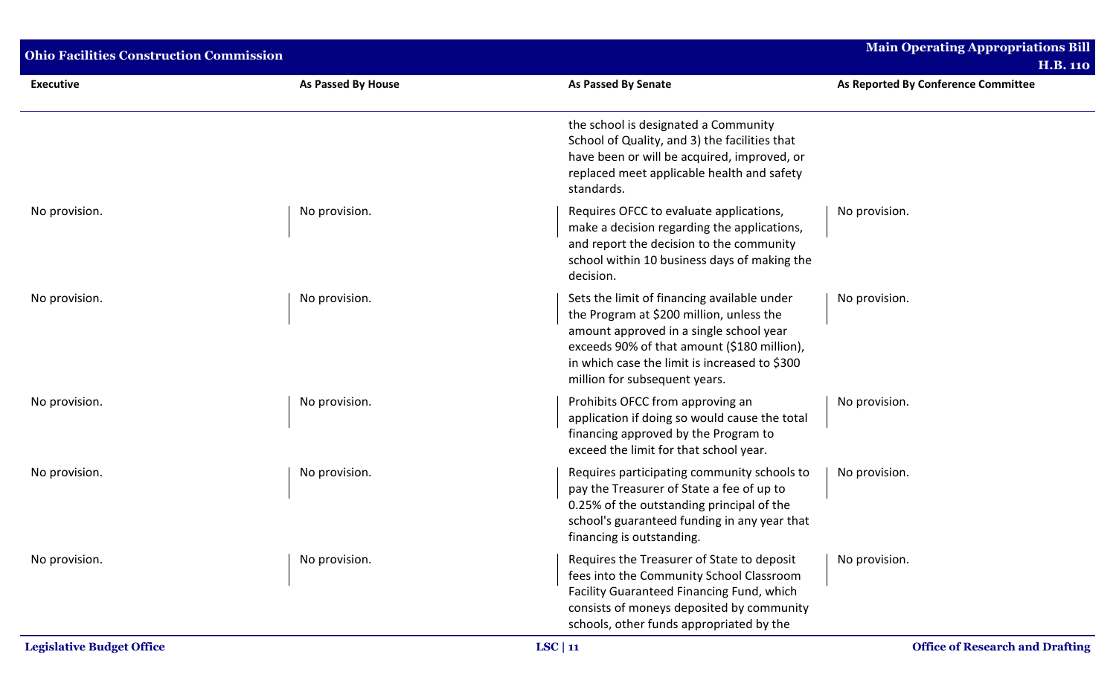| <b>Ohio Facilities Construction Commission</b> |                           |                                                                                                                                                                                                                                                                     | <b>Main Operating Appropriations Bill</b><br><b>H.B. 110</b> |
|------------------------------------------------|---------------------------|---------------------------------------------------------------------------------------------------------------------------------------------------------------------------------------------------------------------------------------------------------------------|--------------------------------------------------------------|
| <b>Executive</b>                               | <b>As Passed By House</b> | <b>As Passed By Senate</b>                                                                                                                                                                                                                                          | As Reported By Conference Committee                          |
|                                                |                           | the school is designated a Community<br>School of Quality, and 3) the facilities that<br>have been or will be acquired, improved, or<br>replaced meet applicable health and safety<br>standards.                                                                    |                                                              |
| No provision.                                  | No provision.             | Requires OFCC to evaluate applications,<br>make a decision regarding the applications,<br>and report the decision to the community<br>school within 10 business days of making the<br>decision.                                                                     | No provision.                                                |
| No provision.                                  | No provision.             | Sets the limit of financing available under<br>the Program at \$200 million, unless the<br>amount approved in a single school year<br>exceeds 90% of that amount (\$180 million),<br>in which case the limit is increased to \$300<br>million for subsequent years. | No provision.                                                |
| No provision.                                  | No provision.             | Prohibits OFCC from approving an<br>application if doing so would cause the total<br>financing approved by the Program to<br>exceed the limit for that school year.                                                                                                 | No provision.                                                |
| No provision.                                  | No provision.             | Requires participating community schools to<br>pay the Treasurer of State a fee of up to<br>0.25% of the outstanding principal of the<br>school's guaranteed funding in any year that<br>financing is outstanding.                                                  | No provision.                                                |
| No provision.                                  | No provision.             | Requires the Treasurer of State to deposit<br>fees into the Community School Classroom<br>Facility Guaranteed Financing Fund, which<br>consists of moneys deposited by community<br>schools, other funds appropriated by the                                        | No provision.                                                |
| <b>Legislative Budget Office</b>               |                           | LSC   11                                                                                                                                                                                                                                                            | <b>Office of Research and Drafting</b>                       |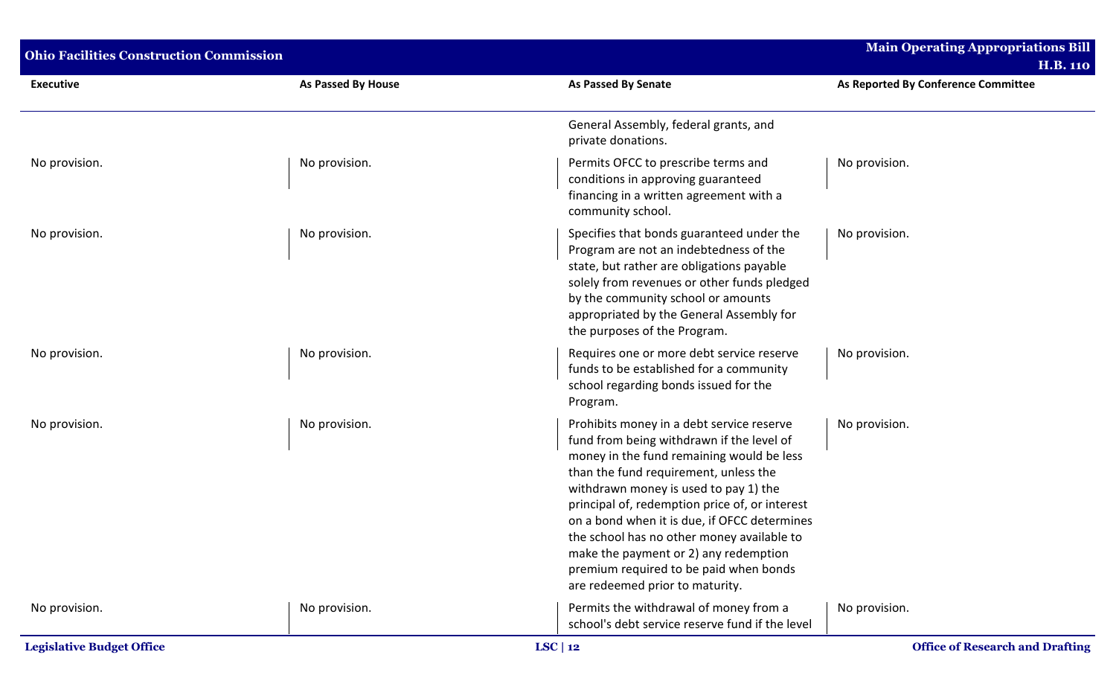| <b>Ohio Facilities Construction Commission</b> |                           |                                                                                                                                                                                                                                                                                                                                                                                                                                                                                             | <b>Main Operating Appropriations Bill</b><br><b>H.B. 110</b> |  |
|------------------------------------------------|---------------------------|---------------------------------------------------------------------------------------------------------------------------------------------------------------------------------------------------------------------------------------------------------------------------------------------------------------------------------------------------------------------------------------------------------------------------------------------------------------------------------------------|--------------------------------------------------------------|--|
| <b>Executive</b>                               | <b>As Passed By House</b> | <b>As Passed By Senate</b>                                                                                                                                                                                                                                                                                                                                                                                                                                                                  | As Reported By Conference Committee                          |  |
|                                                |                           | General Assembly, federal grants, and<br>private donations.                                                                                                                                                                                                                                                                                                                                                                                                                                 |                                                              |  |
| No provision.                                  | No provision.             | Permits OFCC to prescribe terms and<br>conditions in approving guaranteed<br>financing in a written agreement with a<br>community school.                                                                                                                                                                                                                                                                                                                                                   | No provision.                                                |  |
| No provision.                                  | No provision.             | Specifies that bonds guaranteed under the<br>Program are not an indebtedness of the<br>state, but rather are obligations payable<br>solely from revenues or other funds pledged<br>by the community school or amounts<br>appropriated by the General Assembly for<br>the purposes of the Program.                                                                                                                                                                                           | No provision.                                                |  |
| No provision.                                  | No provision.             | Requires one or more debt service reserve<br>funds to be established for a community<br>school regarding bonds issued for the<br>Program.                                                                                                                                                                                                                                                                                                                                                   | No provision.                                                |  |
| No provision.                                  | No provision.             | Prohibits money in a debt service reserve<br>fund from being withdrawn if the level of<br>money in the fund remaining would be less<br>than the fund requirement, unless the<br>withdrawn money is used to pay 1) the<br>principal of, redemption price of, or interest<br>on a bond when it is due, if OFCC determines<br>the school has no other money available to<br>make the payment or 2) any redemption<br>premium required to be paid when bonds<br>are redeemed prior to maturity. | No provision.                                                |  |
| No provision.                                  | No provision.             | Permits the withdrawal of money from a<br>school's debt service reserve fund if the level                                                                                                                                                                                                                                                                                                                                                                                                   | No provision.                                                |  |
| <b>Legislative Budget Office</b>               |                           | LSC   12                                                                                                                                                                                                                                                                                                                                                                                                                                                                                    | <b>Office of Research and Drafting</b>                       |  |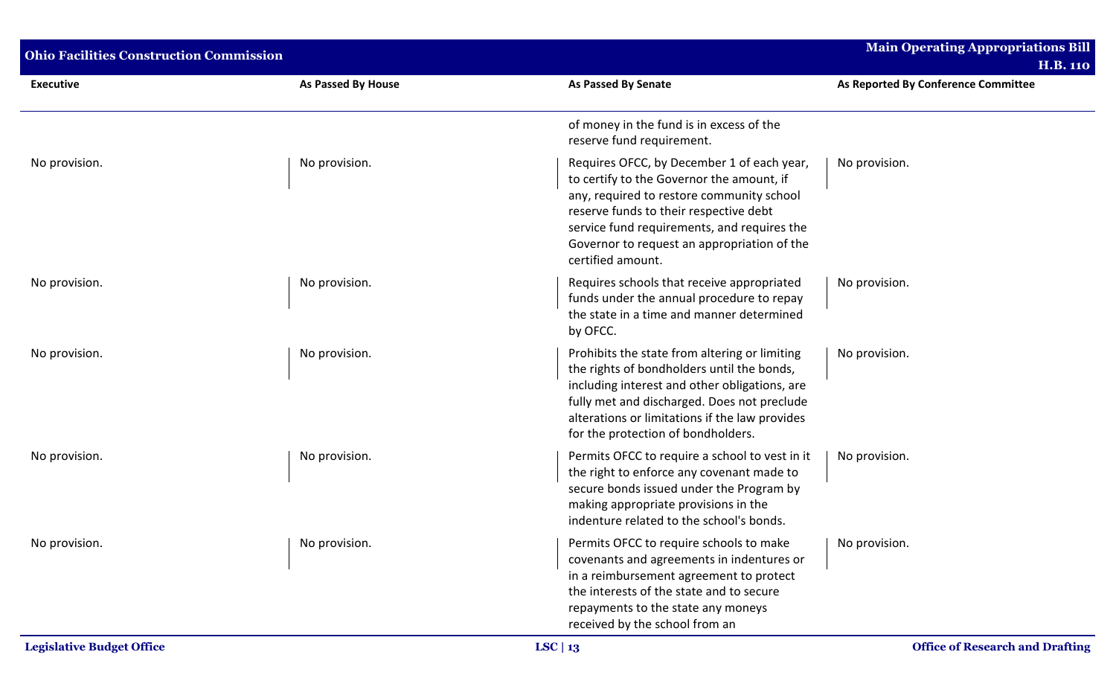| <b>Ohio Facilities Construction Commission</b> | <b>Main Operating Appropriations Bill</b> |                                                                                                                                                                                                                                                                                                   |                                                        |
|------------------------------------------------|-------------------------------------------|---------------------------------------------------------------------------------------------------------------------------------------------------------------------------------------------------------------------------------------------------------------------------------------------------|--------------------------------------------------------|
| <b>Executive</b>                               | As Passed By House                        | <b>As Passed By Senate</b>                                                                                                                                                                                                                                                                        | <b>H.B. 110</b><br>As Reported By Conference Committee |
|                                                |                                           | of money in the fund is in excess of the<br>reserve fund requirement.                                                                                                                                                                                                                             |                                                        |
| No provision.                                  | No provision.                             | Requires OFCC, by December 1 of each year,<br>to certify to the Governor the amount, if<br>any, required to restore community school<br>reserve funds to their respective debt<br>service fund requirements, and requires the<br>Governor to request an appropriation of the<br>certified amount. | No provision.                                          |
| No provision.                                  | No provision.                             | Requires schools that receive appropriated<br>funds under the annual procedure to repay<br>the state in a time and manner determined<br>by OFCC.                                                                                                                                                  | No provision.                                          |
| No provision.                                  | No provision.                             | Prohibits the state from altering or limiting<br>the rights of bondholders until the bonds,<br>including interest and other obligations, are<br>fully met and discharged. Does not preclude<br>alterations or limitations if the law provides<br>for the protection of bondholders.               | No provision.                                          |
| No provision.                                  | No provision.                             | Permits OFCC to require a school to vest in it<br>the right to enforce any covenant made to<br>secure bonds issued under the Program by<br>making appropriate provisions in the<br>indenture related to the school's bonds.                                                                       | No provision.                                          |
| No provision.                                  | No provision.                             | Permits OFCC to require schools to make<br>covenants and agreements in indentures or<br>in a reimbursement agreement to protect<br>the interests of the state and to secure<br>repayments to the state any moneys<br>received by the school from an                                               | No provision.                                          |
| <b>Legislative Budget Office</b>               |                                           | LSC   $13$                                                                                                                                                                                                                                                                                        | <b>Office of Research and Drafting</b>                 |